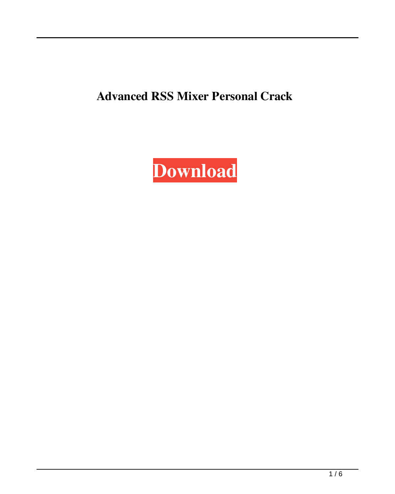**Advanced RSS Mixer Personal Crack**

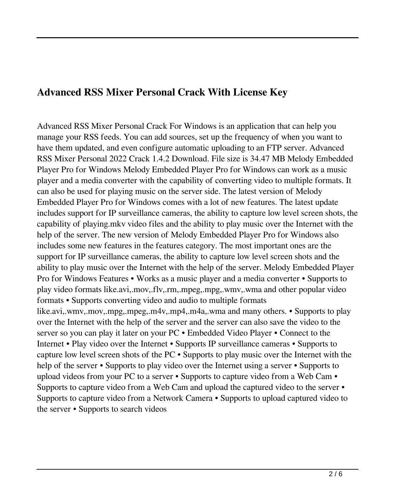## **Advanced RSS Mixer Personal Crack With License Key**

Advanced RSS Mixer Personal Crack For Windows is an application that can help you manage your RSS feeds. You can add sources, set up the frequency of when you want to have them updated, and even configure automatic uploading to an FTP server. Advanced RSS Mixer Personal 2022 Crack 1.4.2 Download. File size is 34.47 MB Melody Embedded Player Pro for Windows Melody Embedded Player Pro for Windows can work as a music player and a media converter with the capability of converting video to multiple formats. It can also be used for playing music on the server side. The latest version of Melody Embedded Player Pro for Windows comes with a lot of new features. The latest update includes support for IP surveillance cameras, the ability to capture low level screen shots, the capability of playing.mkv video files and the ability to play music over the Internet with the help of the server. The new version of Melody Embedded Player Pro for Windows also includes some new features in the features category. The most important ones are the support for IP surveillance cameras, the ability to capture low level screen shots and the ability to play music over the Internet with the help of the server. Melody Embedded Player Pro for Windows Features • Works as a music player and a media converter • Supports to play video formats like.avi,.mov,.flv,.rm,.mpeg,.mpg,.wmv,.wma and other popular video formats • Supports converting video and audio to multiple formats like.avi,.wmv,.mov,.mpg,.mpeg,.m4v,.mp4,.m4a,.wma and many others. • Supports to play over the Internet with the help of the server and the server can also save the video to the server so you can play it later on your PC • Embedded Video Player • Connect to the Internet • Play video over the Internet • Supports IP surveillance cameras • Supports to capture low level screen shots of the PC • Supports to play music over the Internet with the help of the server • Supports to play video over the Internet using a server • Supports to upload videos from your PC to a server • Supports to capture video from a Web Cam • Supports to capture video from a Web Cam and upload the captured video to the server • Supports to capture video from a Network Camera • Supports to upload captured video to the server • Supports to search videos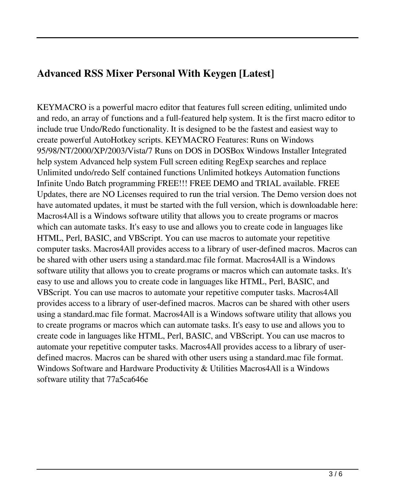# **Advanced RSS Mixer Personal With Keygen [Latest]**

KEYMACRO is a powerful macro editor that features full screen editing, unlimited undo and redo, an array of functions and a full-featured help system. It is the first macro editor to include true Undo/Redo functionality. It is designed to be the fastest and easiest way to create powerful AutoHotkey scripts. KEYMACRO Features: Runs on Windows 95/98/NT/2000/XP/2003/Vista/7 Runs on DOS in DOSBox Windows Installer Integrated help system Advanced help system Full screen editing RegExp searches and replace Unlimited undo/redo Self contained functions Unlimited hotkeys Automation functions Infinite Undo Batch programming FREE!!! FREE DEMO and TRIAL available. FREE Updates, there are NO Licenses required to run the trial version. The Demo version does not have automated updates, it must be started with the full version, which is downloadable here: Macros4All is a Windows software utility that allows you to create programs or macros which can automate tasks. It's easy to use and allows you to create code in languages like HTML, Perl, BASIC, and VBScript. You can use macros to automate your repetitive computer tasks. Macros4All provides access to a library of user-defined macros. Macros can be shared with other users using a standard.mac file format. Macros4All is a Windows software utility that allows you to create programs or macros which can automate tasks. It's easy to use and allows you to create code in languages like HTML, Perl, BASIC, and VBScript. You can use macros to automate your repetitive computer tasks. Macros4All provides access to a library of user-defined macros. Macros can be shared with other users using a standard.mac file format. Macros4All is a Windows software utility that allows you to create programs or macros which can automate tasks. It's easy to use and allows you to create code in languages like HTML, Perl, BASIC, and VBScript. You can use macros to automate your repetitive computer tasks. Macros4All provides access to a library of userdefined macros. Macros can be shared with other users using a standard.mac file format. Windows Software and Hardware Productivity & Utilities Macros4All is a Windows software utility that 77a5ca646e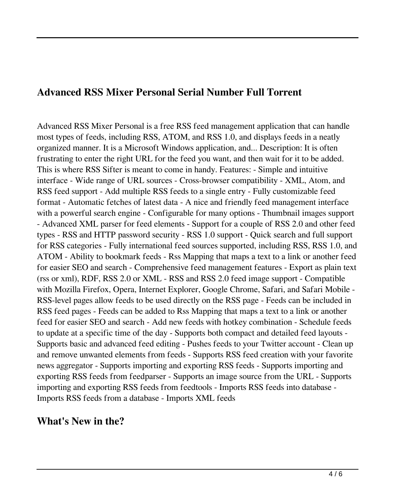### **Advanced RSS Mixer Personal Serial Number Full Torrent**

Advanced RSS Mixer Personal is a free RSS feed management application that can handle most types of feeds, including RSS, ATOM, and RSS 1.0, and displays feeds in a neatly organized manner. It is a Microsoft Windows application, and... Description: It is often frustrating to enter the right URL for the feed you want, and then wait for it to be added. This is where RSS Sifter is meant to come in handy. Features: - Simple and intuitive interface - Wide range of URL sources - Cross-browser compatibility - XML, Atom, and RSS feed support - Add multiple RSS feeds to a single entry - Fully customizable feed format - Automatic fetches of latest data - A nice and friendly feed management interface with a powerful search engine - Configurable for many options - Thumbnail images support - Advanced XML parser for feed elements - Support for a couple of RSS 2.0 and other feed types - RSS and HTTP password security - RSS 1.0 support - Quick search and full support for RSS categories - Fully international feed sources supported, including RSS, RSS 1.0, and ATOM - Ability to bookmark feeds - Rss Mapping that maps a text to a link or another feed for easier SEO and search - Comprehensive feed management features - Export as plain text (rss or xml), RDF, RSS 2.0 or XML - RSS and RSS 2.0 feed image support - Compatible with Mozilla Firefox, Opera, Internet Explorer, Google Chrome, Safari, and Safari Mobile - RSS-level pages allow feeds to be used directly on the RSS page - Feeds can be included in RSS feed pages - Feeds can be added to Rss Mapping that maps a text to a link or another feed for easier SEO and search - Add new feeds with hotkey combination - Schedule feeds to update at a specific time of the day - Supports both compact and detailed feed layouts - Supports basic and advanced feed editing - Pushes feeds to your Twitter account - Clean up and remove unwanted elements from feeds - Supports RSS feed creation with your favorite news aggregator - Supports importing and exporting RSS feeds - Supports importing and exporting RSS feeds from feedparser - Supports an image source from the URL - Supports importing and exporting RSS feeds from feedtools - Imports RSS feeds into database - Imports RSS feeds from a database - Imports XML feeds

### **What's New in the?**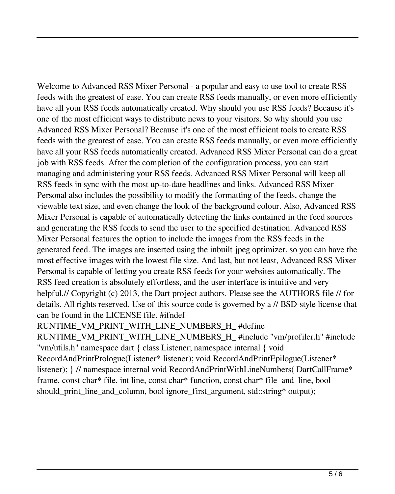Welcome to Advanced RSS Mixer Personal - a popular and easy to use tool to create RSS feeds with the greatest of ease. You can create RSS feeds manually, or even more efficiently have all your RSS feeds automatically created. Why should you use RSS feeds? Because it's one of the most efficient ways to distribute news to your visitors. So why should you use Advanced RSS Mixer Personal? Because it's one of the most efficient tools to create RSS feeds with the greatest of ease. You can create RSS feeds manually, or even more efficiently have all your RSS feeds automatically created. Advanced RSS Mixer Personal can do a great job with RSS feeds. After the completion of the configuration process, you can start managing and administering your RSS feeds. Advanced RSS Mixer Personal will keep all RSS feeds in sync with the most up-to-date headlines and links. Advanced RSS Mixer Personal also includes the possibility to modify the formatting of the feeds, change the viewable text size, and even change the look of the background colour. Also, Advanced RSS Mixer Personal is capable of automatically detecting the links contained in the feed sources and generating the RSS feeds to send the user to the specified destination. Advanced RSS Mixer Personal features the option to include the images from the RSS feeds in the generated feed. The images are inserted using the inbuilt jpeg optimizer, so you can have the most effective images with the lowest file size. And last, but not least, Advanced RSS Mixer Personal is capable of letting you create RSS feeds for your websites automatically. The RSS feed creation is absolutely effortless, and the user interface is intuitive and very helpful.// Copyright (c) 2013, the Dart project authors. Please see the AUTHORS file // for details. All rights reserved. Use of this source code is governed by a // BSD-style license that can be found in the LICENSE file. #ifndef

RUNTIME\_VM\_PRINT\_WITH\_LINE\_NUMBERS\_H\_#define

RUNTIME\_VM\_PRINT\_WITH\_LINE\_NUMBERS\_H\_ #include "vm/profiler.h" #include "vm/utils.h" namespace dart { class Listener; namespace internal { void RecordAndPrintPrologue(Listener\* listener); void RecordAndPrintEpilogue(Listener\* listener); } // namespace internal void RecordAndPrintWithLineNumbers( DartCallFrame\* frame, const char\* file, int line, const char\* function, const char\* file\_and\_line, bool should print line and column, bool ignore first argument, std::string\* output);